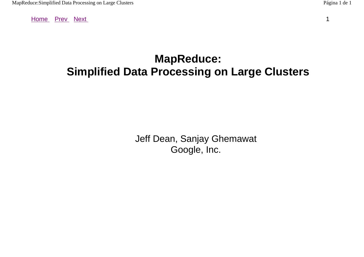## **MapReduce: Simplified Data Processing on Large Clusters**

Jeff Dean, Sanjay Ghemawat Google, Inc.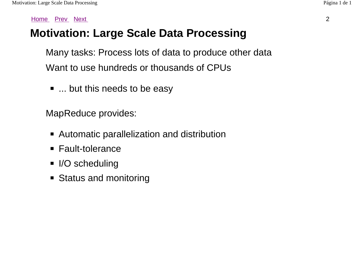## **Motivation: Large Scale Data Processing**

Many tasks: Process lots of data to produce other data Want to use hundreds or thousands of CPUs

■ ... but this needs to be easy

MapReduce provides:

- Automatic parallelization and distribution
- Fault-tolerance
- I/O scheduling
- Status and monitoring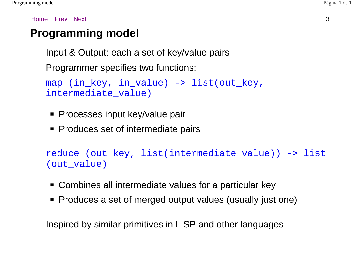## **Programming model**

Input & Output: each a set of key/value pairs

Programmer specifies two functions:

```
map (in_key, in_value) -> list(out_key, 
intermediate_value)
```
- Processes input key/value pair
- Produces set of intermediate pairs

reduce (out\_key, list(intermediate\_value)) -> list (out\_value)

- Combines all intermediate values for a particular key
- Produces a set of merged output values (usually just one)

Inspired by similar primitives in LISP and other languages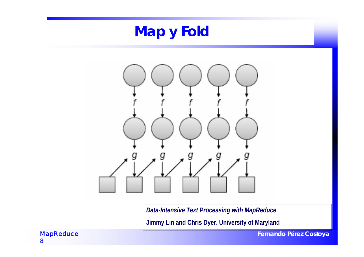

**Jimmy Lin and Chris Dyer. University of Maryland**

**Fernando Pérez Costoya**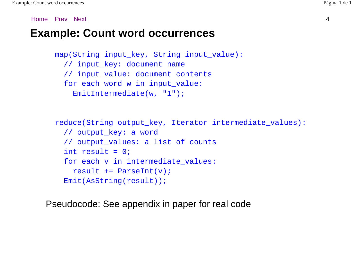### **Example: Count word occurrences**

```
map(String input key, String input value):
   // input_key: document name 
   // input_value: document contents 
  for each word w in input value:
     EmitIntermediate(w, "1");
```

```
 reduce(String output_key, Iterator intermediate_values): 
   // output_key: a word 
   // output_values: a list of counts 
  int result = 0;
  for each v in intermediate values:
    result += ParseInt(v);
   Emit(AsString(result));
```
Pseudocode: See appendix in paper for real code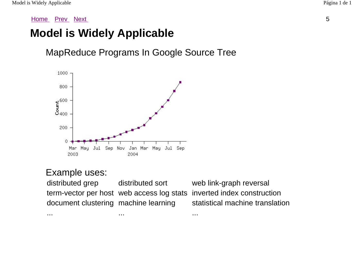## **Model is Widely Applicable**

MapReduce Programs In Google Source Tree



... ... ...

#### Example uses:

distributed grep distributed sort web link-graph reversal term-vector per host web access log stats inverted index construction document clustering machine learning statistical machine translation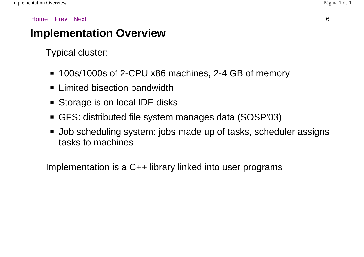## **Implementation Overview**

Typical cluster:

- 100s/1000s of 2-CPU x86 machines, 2-4 GB of memory
- Limited bisection bandwidth
- Storage is on local IDE disks
- GFS: distributed file system manages data (SOSP'03)
- Job scheduling system: jobs made up of tasks, scheduler assigns tasks to machines

Implementation is a C++ library linked into user programs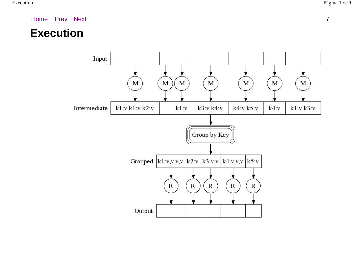### **Execution**

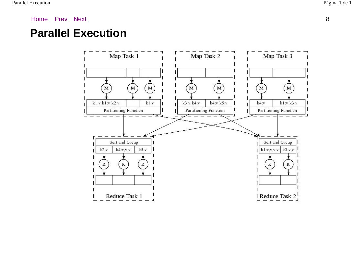### **Parallel Execution**

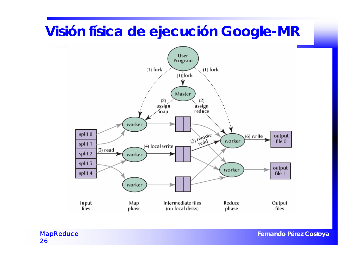## **Visión física de ejecución Google-MR**



*MapReduce* 26

**Fernando Pérez Costoya**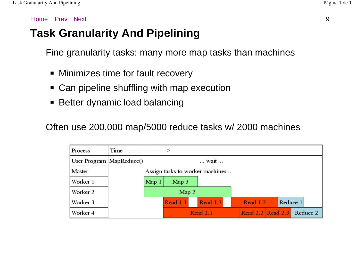## **Task Granularity And Pipelining**

Fine granularity tasks: many more map tasks than machines

- Minimizes time for fault recovery
- Can pipeline shuffling with map execution
- Better dynamic load balancing

Often use 200,000 map/5000 reduce tasks w/ 2000 machines

| Process                    | Time ---------------------- |       |                  |                                 |          |                   |          |
|----------------------------|-----------------------------|-------|------------------|---------------------------------|----------|-------------------|----------|
| User Program   MapReduce() |                             |       |                  | wait                            |          |                   |          |
| Master                     |                             |       |                  | Assign tasks to worker machines |          |                   |          |
| Worker 1                   |                             | Map 1 | Map <sub>3</sub> |                                 |          |                   |          |
| Worker 2                   |                             |       | Map 2            |                                 |          |                   |          |
| Worker 3                   |                             |       | Read 1.1         | Read 1.3                        | Read 1.2 | Reduce 1          |          |
| Worker 4                   |                             |       |                  | Read 2.1                        |          | Read 2.2 Read 2.3 | Reduce 2 |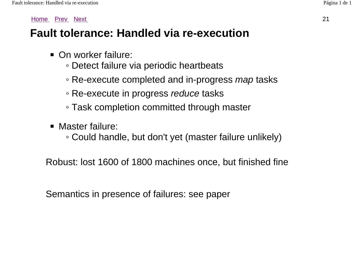## **Fault tolerance: Handled via re-execution**

- On worker failure:
	- Detect failure via periodic heartbeats
	- Re-execute completed and in-progress *map* tasks
	- Re-execute in progress *reduce* tasks
	- Task completion committed through master
- Master failure:
	- Could handle, but don't yet (master failure unlikely)

Robust: lost 1600 of 1800 machines once, but finished fine

Semantics in presence of failures: see paper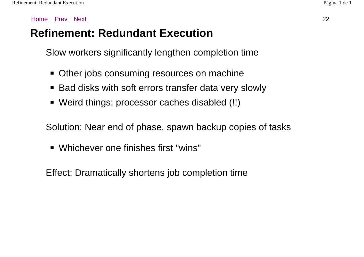## **Refinement: Redundant Execution**

Slow workers significantly lengthen completion time

- Other jobs consuming resources on machine
- Bad disks with soft errors transfer data very slowly
- Weird things: processor caches disabled (!!)

Solution: Near end of phase, spawn backup copies of tasks

■ Whichever one finishes first "wins"

Effect: Dramatically shortens job completion time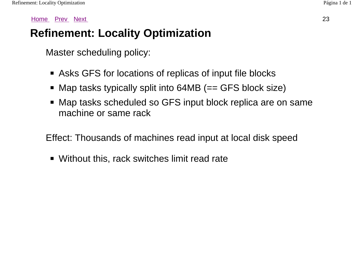## **Refinement: Locality Optimization**

Master scheduling policy:

- Asks GFS for locations of replicas of input file blocks
- Map tasks typically split into 64MB (== GFS block size)
- Map tasks scheduled so GFS input block replica are on same machine or same rack

Effect: Thousands of machines read input at local disk speed

■ Without this, rack switches limit read rate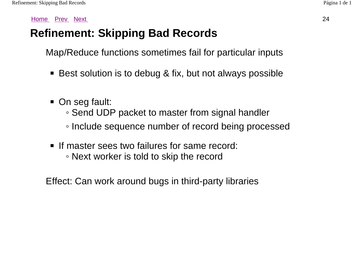## **Refinement: Skipping Bad Records**

Map/Reduce functions sometimes fail for particular inputs

- Best solution is to debug & fix, but not always possible
- On seg fault:
	- Send UDP packet to master from signal handler
	- Include sequence number of record being processed
- If master sees two failures for same record: ◦ Next worker is told to skip the record

Effect: Can work around bugs in third-party libraries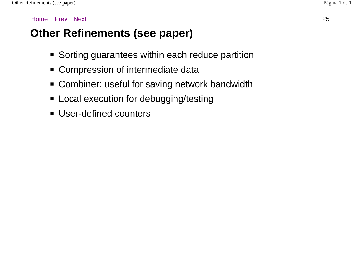## **Other Refinements (see paper)**

- Sorting guarantees within each reduce partition
- Compression of intermediate data
- Combiner: useful for saving network bandwidth
- Local execution for debugging/testing
- User-defined counters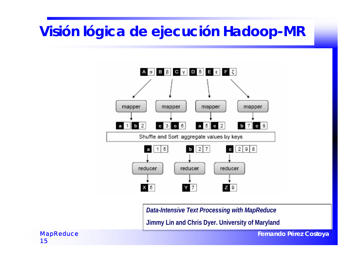# **Visión lógica de ejecución Hadoop-MR**



*Data-Intensive Text Processing with MapReduce*

**Jimmy Lin and Chris Dyer. University of Maryland**

**Fernando Pérez Costoya**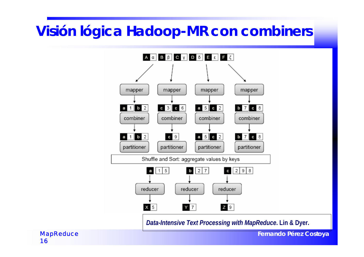# **Visión lógica Hadoop-MR con** *combiners*



*Data-Intensive Text Processing with MapReduce***. Lin & Dyer.**

**Fernando Pérez Costoya**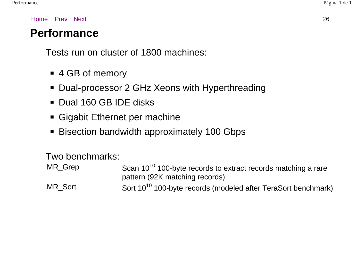### **Performance**

Tests run on cluster of 1800 machines:

- 4 GB of memory
- Dual-processor 2 GHz Xeons with Hyperthreading
- Dual 160 GB IDE disks
- Gigabit Ethernet per machine
- Bisection bandwidth approximately 100 Gbps

#### Two benchmarks:

| MR_Grep | Scan 10 <sup>10</sup> 100-byte records to extract records matching a rare |
|---------|---------------------------------------------------------------------------|
|         | pattern (92K matching records)                                            |
| MR Sort | Sort 10 <sup>10</sup> 100-byte records (modeled after TeraSort benchmark) |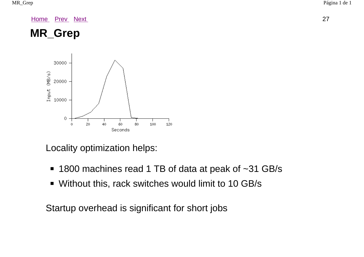

Locality optimization helps:

- 1800 machines read 1 TB of data at peak of ~31 GB/s
- Without this, rack switches would limit to 10 GB/s

Startup overhead is significant for short jobs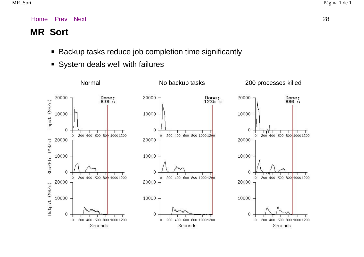#### **MR\_Sort**

- Backup tasks reduce job completion time significantly
- System deals well with failures

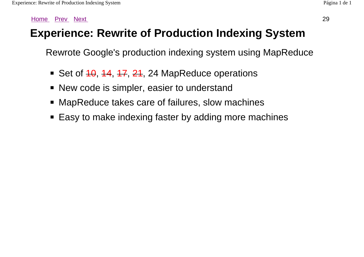## **Experience: Rewrite of Production Indexing System**

Rewrote Google's production indexing system using MapReduce

- Set of  $10, 14, 17, 21, 24$  MapReduce operations
- New code is simpler, easier to understand
- MapReduce takes care of failures, slow machines
- Easy to make indexing faster by adding more machines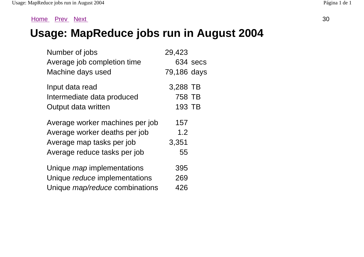## **Usage: MapReduce jobs run in August 2004**

| Number of jobs                        | 29,423      |          |
|---------------------------------------|-------------|----------|
| Average job completion time           |             | 634 secs |
| Machine days used                     | 79,186 days |          |
| Input data read                       | 3,288 TB    |          |
| Intermediate data produced            | 758 TB      |          |
| Output data written                   | 193 TB      |          |
| Average worker machines per job       | 157         |          |
| Average worker deaths per job         | 1.2         |          |
| Average map tasks per job             | 3,351       |          |
| Average reduce tasks per job          | 55          |          |
| Unique <i>map</i> implementations     | 395         |          |
| Unique reduce implementations         | 269         |          |
| Unique <i>map/reduce</i> combinations | 426         |          |